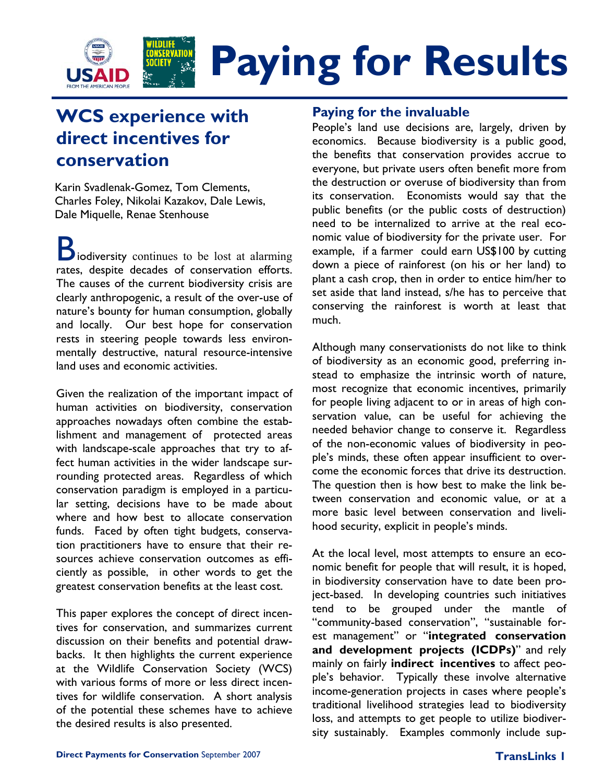

# **WCS experience with direct incentives for conservation**

Karin Svadlenak-Gomez, Tom Clements, Charles Foley, Nikolai Kazakov, Dale Lewis, Dale Miquelle, Renae Stenhouse

**B** iodiversity continues to be lost at alarming rates, despite decades of conservation efforts. The causes of the current biodiversity crisis are clearly anthropogenic, a result of the over-use of nature's bounty for human consumption, globally and locally. Our best hope for conservation rests in steering people towards less environmentally destructive, natural resource-intensive land uses and economic activities.

Given the realization of the important impact of human activities on biodiversity, conservation approaches nowadays often combine the establishment and management of protected areas with landscape-scale approaches that try to affect human activities in the wider landscape surrounding protected areas. Regardless of which conservation paradigm is employed in a particular setting, decisions have to be made about where and how best to allocate conservation funds. Faced by often tight budgets, conservation practitioners have to ensure that their resources achieve conservation outcomes as efficiently as possible, in other words to get the greatest conservation benefits at the least cost.

This paper explores the concept of direct incentives for conservation, and summarizes current discussion on their benefits and potential drawbacks. It then highlights the current experience at the Wildlife Conservation Society (WCS) with various forms of more or less direct incentives for wildlife conservation. A short analysis of the potential these schemes have to achieve the desired results is also presented.

### **Paying for the invaluable**

People's land use decisions are, largely, driven by economics. Because biodiversity is a public good, the benefits that conservation provides accrue to everyone, but private users often benefit more from the destruction or overuse of biodiversity than from its conservation. Economists would say that the public benefits (or the public costs of destruction) need to be internalized to arrive at the real economic value of biodiversity for the private user. For example, if a farmer could earn US\$100 by cutting down a piece of rainforest (on his or her land) to plant a cash crop, then in order to entice him/her to set aside that land instead, s/he has to perceive that conserving the rainforest is worth at least that much.

Although many conservationists do not like to think of biodiversity as an economic good, preferring instead to emphasize the intrinsic worth of nature, most recognize that economic incentives, primarily for people living adjacent to or in areas of high conservation value, can be useful for achieving the needed behavior change to conserve it. Regardless of the non-economic values of biodiversity in people's minds, these often appear insufficient to overcome the economic forces that drive its destruction. The question then is how best to make the link between conservation and economic value, or at a more basic level between conservation and livelihood security, explicit in people's minds.

At the local level, most attempts to ensure an economic benefit for people that will result, it is hoped, in biodiversity conservation have to date been project-based. In developing countries such initiatives tend to be grouped under the mantle of "community-based conservation", "sustainable forest management" or "**integrated conservation and development projects (ICDPs)**" and rely mainly on fairly **indirect incentives** to affect people's behavior. Typically these involve alternative income-generation projects in cases where people's traditional livelihood strategies lead to biodiversity loss, and attempts to get people to utilize biodiversity sustainably. Examples commonly include sup-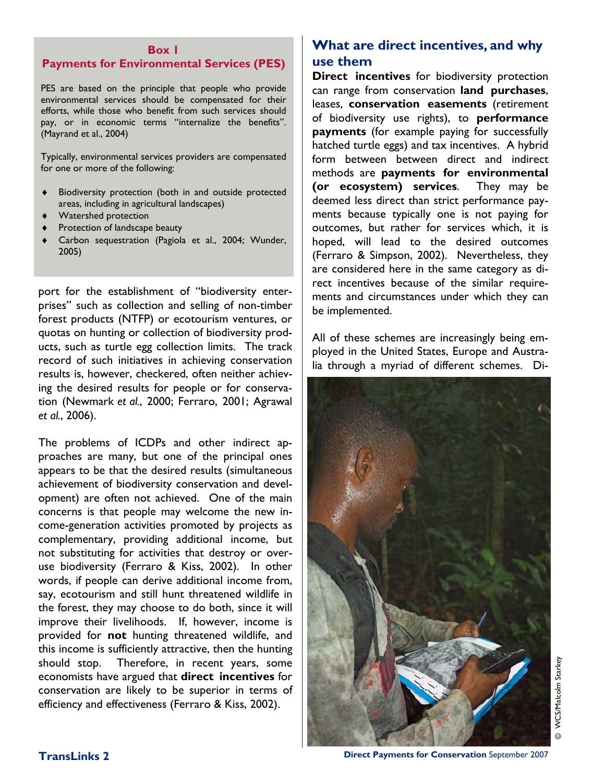#### **Box 1**

#### **Payments for Environmental Services (PES)**

PES are based on the principle that people who provide environmental services should be compensated for their efforts, while those who benefit from such services should pay, or in economic terms "internalize the benefits". (Mayrand et al., 2004)

Typically, environmental services providers are compensated for one or more of the following:

- ♦ Biodiversity protection (both in and outside protected areas, including in agricultural landscapes)
- ♦ Watershed protection
- ♦ Protection of landscape beauty
- ♦ Carbon sequestration (Pagiola et al., 2004; Wunder, 2005)

port for the establishment of "biodiversity enterprises" such as collection and selling of non-timber forest products (NTFP) or ecotourism ventures, or quotas on hunting or collection of biodiversity products, such as turtle egg collection limits. The track record of such initiatives in achieving conservation results is, however, checkered, often neither achieving the desired results for people or for conservation (Newmark *et al.*, 2000; Ferraro, 2001; Agrawal *et al.*, 2006).

The problems of ICDPs and other indirect approaches are many, but one of the principal ones appears to be that the desired results (simultaneous achievement of biodiversity conservation and development) are often not achieved. One of the main concerns is that people may welcome the new income-generation activities promoted by projects as complementary, providing additional income, but not substituting for activities that destroy or overuse biodiversity (Ferraro & Kiss, 2002). In other words, if people can derive additional income from, say, ecotourism and still hunt threatened wildlife in the forest, they may choose to do both, since it will improve their livelihoods. If, however, income is provided for **not** hunting threatened wildlife, and this income is sufficiently attractive, then the hunting should stop. Therefore, in recent years, some economists have argued that **direct incentives** for conservation are likely to be superior in terms of efficiency and effectiveness (Ferraro & Kiss, 2002).

### **What are direct incentives, and why use them**

**Direct incentives** for biodiversity protection can range from conservation **land purchases**, leases, **conservation easements** (retirement of biodiversity use rights), to **performance payments** (for example paying for successfully hatched turtle eggs) and tax incentives. A hybrid form between between direct and indirect methods are **payments for environmental (or ecosystem) services**. They may be deemed less direct than strict performance payments because typically one is not paying for outcomes, but rather for services which, it is hoped, will lead to the desired outcomes (Ferraro & Simpson, 2002). Nevertheless, they are considered here in the same category as direct incentives because of the similar requirements and circumstances under which they can be implemented.

All of these schemes are increasingly being employed in the United States, Europe and Australia through a myriad of different schemes. Di-



**TransLinks 2** Direct Payments for Conservation September 2007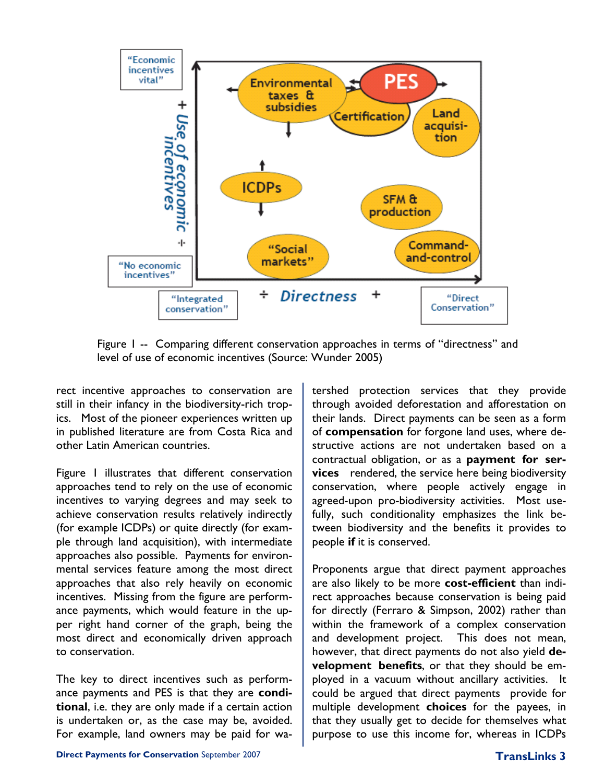

Figure 1 -- Comparing different conservation approaches in terms of "directness" and level of use of economic incentives (Source: Wunder 2005)

rect incentive approaches to conservation are still in their infancy in the biodiversity-rich tropics. Most of the pioneer experiences written up in published literature are from Costa Rica and other Latin American countries.

Figure 1 illustrates that different conservation approaches tend to rely on the use of economic incentives to varying degrees and may seek to achieve conservation results relatively indirectly (for example ICDPs) or quite directly (for example through land acquisition), with intermediate approaches also possible. Payments for environmental services feature among the most direct approaches that also rely heavily on economic incentives. Missing from the figure are performance payments, which would feature in the upper right hand corner of the graph, being the most direct and economically driven approach to conservation.

The key to direct incentives such as performance payments and PES is that they are **conditional**, i.e. they are only made if a certain action is undertaken or, as the case may be, avoided. For example, land owners may be paid for watershed protection services that they provide through avoided deforestation and afforestation on their lands. Direct payments can be seen as a form of **compensation** for forgone land uses, where destructive actions are not undertaken based on a contractual obligation, or as a **payment for services** rendered, the service here being biodiversity conservation, where people actively engage in agreed-upon pro-biodiversity activities. Most usefully, such conditionality emphasizes the link between biodiversity and the benefits it provides to people **if** it is conserved.

Proponents argue that direct payment approaches are also likely to be more **cost-efficient** than indirect approaches because conservation is being paid for directly (Ferraro & Simpson, 2002) rather than within the framework of a complex conservation and development project. This does not mean, however, that direct payments do not also yield **development benefits**, or that they should be employed in a vacuum without ancillary activities. It could be argued that direct payments provide for multiple development **choices** for the payees, in that they usually get to decide for themselves what purpose to use this income for, whereas in ICDPs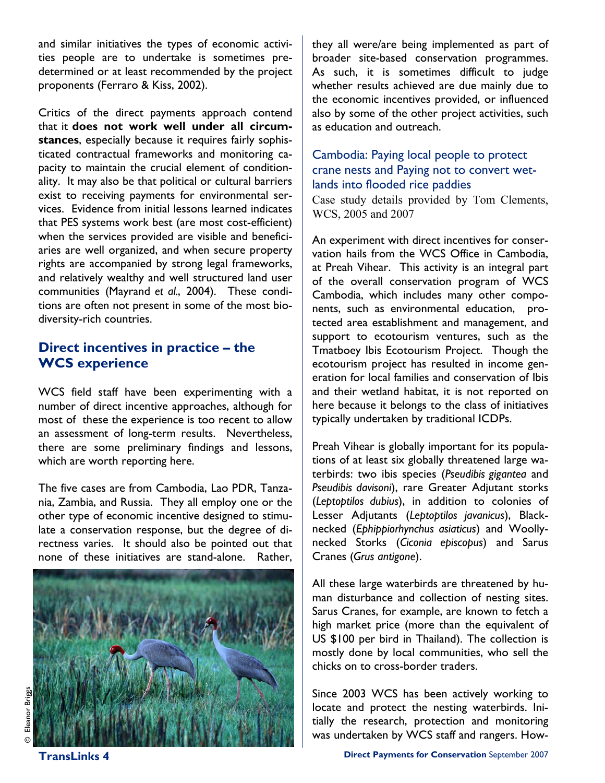and similar initiatives the types of economic activities people are to undertake is sometimes predetermined or at least recommended by the project proponents (Ferraro & Kiss, 2002).

Critics of the direct payments approach contend that it **does not work well under all circumstances**, especially because it requires fairly sophisticated contractual frameworks and monitoring capacity to maintain the crucial element of conditionality. It may also be that political or cultural barriers exist to receiving payments for environmental services. Evidence from initial lessons learned indicates that PES systems work best (are most cost-efficient) when the services provided are visible and beneficiaries are well organized, and when secure property rights are accompanied by strong legal frameworks, and relatively wealthy and well structured land user communities (Mayrand *et al.*, 2004). These conditions are often not present in some of the most biodiversity-rich countries.

### **Direct incentives in practice – the WCS experience**

WCS field staff have been experimenting with a number of direct incentive approaches, although for most of these the experience is too recent to allow an assessment of long-term results. Nevertheless, there are some preliminary findings and lessons, which are worth reporting here.

The five cases are from Cambodia, Lao PDR, Tanzania, Zambia, and Russia. They all employ one or the other type of economic incentive designed to stimulate a conservation response, but the degree of directness varies. It should also be pointed out that none of these initiatives are stand-alone. Rather,



they all were/are being implemented as part of broader site-based conservation programmes. As such, it is sometimes difficult to judge whether results achieved are due mainly due to the economic incentives provided, or influenced also by some of the other project activities, such as education and outreach.

# Cambodia: Paying local people to protect crane nests and Paying not to convert wetlands into flooded rice paddies

Case study details provided by Tom Clements, WCS, 2005 and 2007

An experiment with direct incentives for conservation hails from the WCS Office in Cambodia, at Preah Vihear. This activity is an integral part of the overall conservation program of WCS Cambodia, which includes many other components, such as environmental education, protected area establishment and management, and support to ecotourism ventures, such as the Tmatboey Ibis Ecotourism Project. Though the ecotourism project has resulted in income generation for local families and conservation of Ibis and their wetland habitat, it is not reported on here because it belongs to the class of initiatives typically undertaken by traditional ICDPs.

Preah Vihear is globally important for its populations of at least six globally threatened large waterbirds: two ibis species (*Pseudibis gigantea* and *Pseudibis davisoni*), rare Greater Adjutant storks (*Leptoptilos dubius*), in addition to colonies of Lesser Adjutants (*Leptoptilos javanicus*), Blacknecked (*Ephippiorhynchus asiaticus*) and Woollynecked Storks (*Ciconia episcopus*) and Sarus Cranes (*Grus antigone*).

All these large waterbirds are threatened by human disturbance and collection of nesting sites. Sarus Cranes, for example, are known to fetch a high market price (more than the equivalent of US \$100 per bird in Thailand). The collection is mostly done by local communities, who sell the chicks on to cross-border traders.

Since 2003 WCS has been actively working to locate and protect the nesting waterbirds. Initially the research, protection and monitoring was undertaken by WCS staff and rangers. How-

© Eleanor Briggs Brigg anor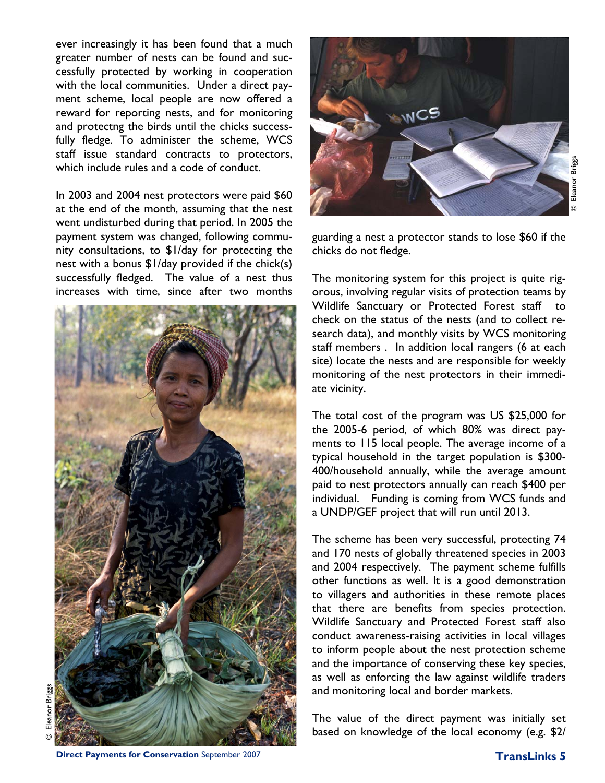ever increasingly it has been found that a much greater number of nests can be found and successfully protected by working in cooperation with the local communities. Under a direct payment scheme, local people are now offered a reward for reporting nests, and for monitoring and protectng the birds until the chicks successfully fledge. To administer the scheme, WCS staff issue standard contracts to protectors, which include rules and a code of conduct.

In 2003 and 2004 nest protectors were paid \$60 at the end of the month, assuming that the nest went undisturbed during that period. In 2005 the payment system was changed, following community consultations, to \$1/day for protecting the nest with a bonus \$1/day provided if the chick(s) successfully fledged. The value of a nest thus increases with time, since after two months





guarding a nest a protector stands to lose \$60 if the chicks do not fledge.

The monitoring system for this project is quite rigorous, involving regular visits of protection teams by Wildlife Sanctuary or Protected Forest staff to check on the status of the nests (and to collect research data), and monthly visits by WCS monitoring staff members . In addition local rangers (6 at each site) locate the nests and are responsible for weekly monitoring of the nest protectors in their immediate vicinity.

The total cost of the program was US \$25,000 for the 2005-6 period, of which 80% was direct payments to 115 local people. The average income of a typical household in the target population is \$300- 400/household annually, while the average amount paid to nest protectors annually can reach \$400 per individual. Funding is coming from WCS funds and a UNDP/GEF project that will run until 2013.

The scheme has been very successful, protecting 74 and 170 nests of globally threatened species in 2003 and 2004 respectively. The payment scheme fulfills other functions as well. It is a good demonstration to villagers and authorities in these remote places that there are benefits from species protection. Wildlife Sanctuary and Protected Forest staff also conduct awareness-raising activities in local villages to inform people about the nest protection scheme and the importance of conserving these key species, as well as enforcing the law against wildlife traders and monitoring local and border markets.

The value of the direct payment was initially set based on knowledge of the local economy (e.g. \$2/

© Eleanor Briggs Briggs ileanor

**Direct Payments for Conservation** September 2007 **TransLinks 5 TransLinks 5**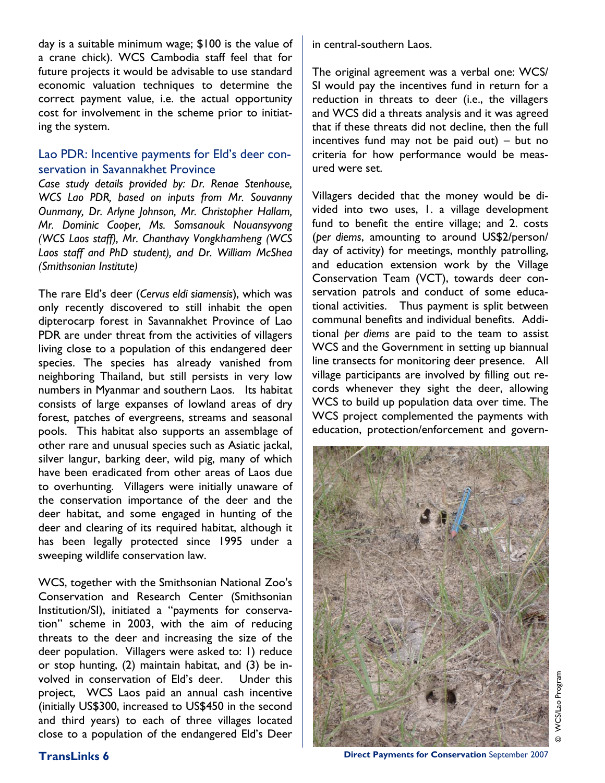day is a suitable minimum wage; \$100 is the value of a crane chick). WCS Cambodia staff feel that for future projects it would be advisable to use standard economic valuation techniques to determine the correct payment value, i.e. the actual opportunity cost for involvement in the scheme prior to initiating the system.

#### Lao PDR: Incentive payments for Eld's deer conservation in Savannakhet Province

*Case study details provided by: Dr. Renae Stenhouse, WCS Lao PDR, based on inputs from Mr. Souvanny Ounmany, Dr. Arlyne Johnson, Mr. Christopher Hallam, Mr. Dominic Cooper, Ms. Somsanouk Nouansyvong (WCS Laos staff), Mr. Chanthavy Vongkhamheng (WCS Laos staff and PhD student), and Dr. William McShea (Smithsonian Institute)* 

The rare Eld's deer (*Cervus eldi siamensis*), which was only recently discovered to still inhabit the open dipterocarp forest in Savannakhet Province of Lao PDR are under threat from the activities of villagers living close to a population of this endangered deer species. The species has already vanished from neighboring Thailand, but still persists in very low numbers in Myanmar and southern Laos. Its habitat consists of large expanses of lowland areas of dry forest, patches of evergreens, streams and seasonal pools. This habitat also supports an assemblage of other rare and unusual species such as Asiatic jackal, silver langur, barking deer, wild pig, many of which have been eradicated from other areas of Laos due to overhunting. Villagers were initially unaware of the conservation importance of the deer and the deer habitat, and some engaged in hunting of the deer and clearing of its required habitat, although it has been legally protected since 1995 under a sweeping wildlife conservation law.

WCS, together with the Smithsonian National Zoo's Conservation and Research Center (Smithsonian Institution/SI), initiated a "payments for conservation" scheme in 2003, with the aim of reducing threats to the deer and increasing the size of the deer population. Villagers were asked to: 1) reduce or stop hunting, (2) maintain habitat, and (3) be involved in conservation of Eld's deer. Under this project, WCS Laos paid an annual cash incentive (initially US\$300, increased to US\$450 in the second and third years) to each of three villages located close to a population of the endangered Eld's Deer

in central-southern Laos.

The original agreement was a verbal one: WCS/ SI would pay the incentives fund in return for a reduction in threats to deer (i.e., the villagers and WCS did a threats analysis and it was agreed that if these threats did not decline, then the full incentives fund may not be paid out) – but no criteria for how performance would be measured were set.

Villagers decided that the money would be divided into two uses, 1. a village development fund to benefit the entire village; and 2. costs (*per diems*, amounting to around US\$2/person/ day of activity) for meetings, monthly patrolling, and education extension work by the Village Conservation Team (VCT), towards deer conservation patrols and conduct of some educational activities. Thus payment is split between communal benefits and individual benefits. Additional *per diems* are paid to the team to assist WCS and the Government in setting up biannual line transects for monitoring deer presence. All village participants are involved by filling out records whenever they sight the deer, allowing WCS to build up population data over time. The WCS project complemented the payments with education, protection/enforcement and govern-



© WCS/Lao Program WCS/Lao Program

**TransLinks 6 Conservation Conservation September 2007**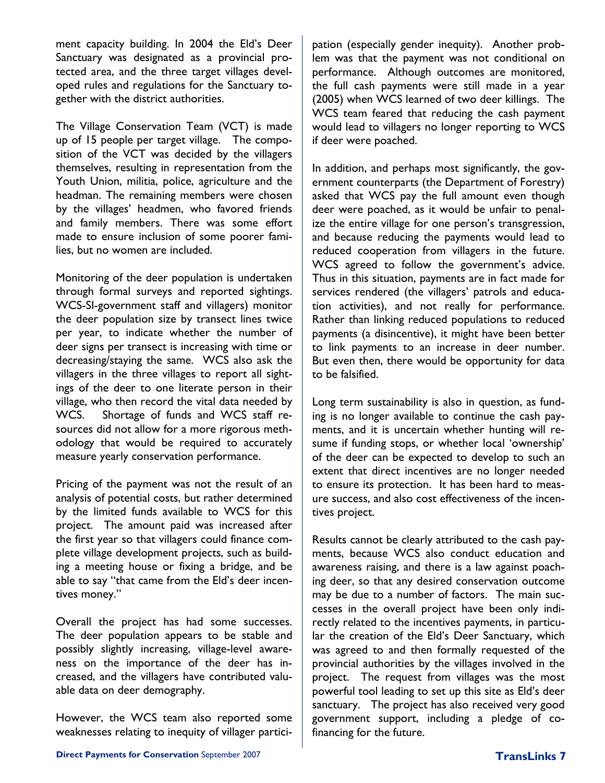ment capacity building. In 2004 the Eld's Deer Sanctuary was designated as a provincial protected area, and the three target villages developed rules and regulations for the Sanctuary together with the district authorities.

The Village Conservation Team (VCT) is made up of 15 people per target village. The composition of the VCT was decided by the villagers themselves, resulting in representation from the Youth Union, militia, police, agriculture and the headman. The remaining members were chosen by the villages' headmen, who favored friends and family members. There was some effort made to ensure inclusion of some poorer families, but no women are included.

Monitoring of the deer population is undertaken through formal surveys and reported sightings. WCS-SI-government staff and villagers) monitor the deer population size by transect lines twice per year, to indicate whether the number of deer signs per transect is increasing with time or decreasing/staying the same. WCS also ask the villagers in the three villages to report all sightings of the deer to one literate person in their village, who then record the vital data needed by WCS. Shortage of funds and WCS staff resources did not allow for a more rigorous methodology that would be required to accurately measure yearly conservation performance.

Pricing of the payment was not the result of an analysis of potential costs, but rather determined by the limited funds available to WCS for this project. The amount paid was increased after the first year so that villagers could finance complete village development projects, such as building a meeting house or fixing a bridge, and be able to say "that came from the Eld's deer incentives money."

Overall the project has had some successes. The deer population appears to be stable and possibly slightly increasing, village-level awareness on the importance of the deer has increased, and the villagers have contributed valuable data on deer demography.

However, the WCS team also reported some weaknesses relating to inequity of villager participation (especially gender inequity). Another problem was that the payment was not conditional on performance. Although outcomes are monitored, the full cash payments were still made in a year (2005) when WCS learned of two deer killings. The WCS team feared that reducing the cash payment would lead to villagers no longer reporting to WCS if deer were poached.

In addition, and perhaps most significantly, the government counterparts (the Department of Forestry) asked that WCS pay the full amount even though deer were poached, as it would be unfair to penalize the entire village for one person's transgression, and because reducing the payments would lead to reduced cooperation from villagers in the future. WCS agreed to follow the government's advice. Thus in this situation, payments are in fact made for services rendered (the villagers' patrols and education activities), and not really for performance. Rather than linking reduced populations to reduced payments (a disincentive), it might have been better to link payments to an increase in deer number. But even then, there would be opportunity for data to be falsified.

Long term sustainability is also in question, as funding is no longer available to continue the cash payments, and it is uncertain whether hunting will resume if funding stops, or whether local 'ownership' of the deer can be expected to develop to such an extent that direct incentives are no longer needed to ensure its protection. It has been hard to measure success, and also cost effectiveness of the incentives project.

Results cannot be clearly attributed to the cash payments, because WCS also conduct education and awareness raising, and there is a law against poaching deer, so that any desired conservation outcome may be due to a number of factors. The main successes in the overall project have been only indirectly related to the incentives payments, in particular the creation of the Eld's Deer Sanctuary, which was agreed to and then formally requested of the provincial authorities by the villages involved in the project. The request from villages was the most powerful tool leading to set up this site as Eld's deer sanctuary. The project has also received very good government support, including a pledge of cofinancing for the future.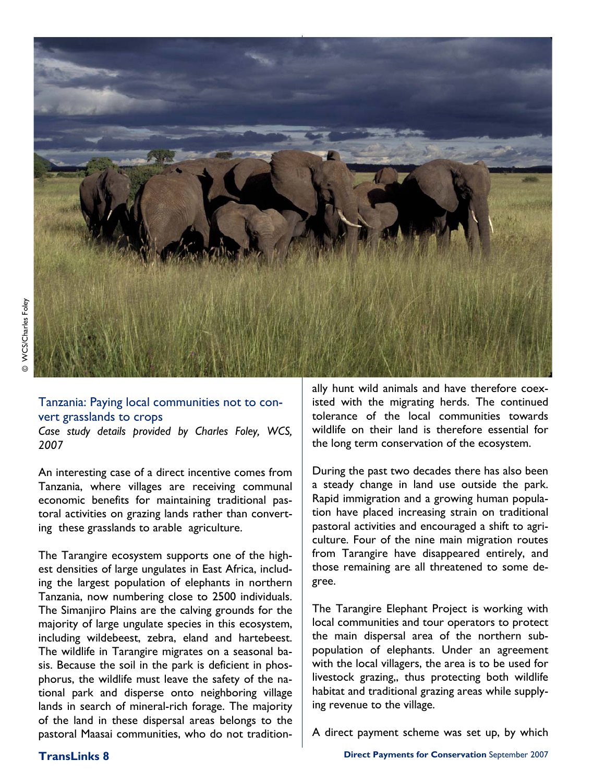

#### Tanzania: Paying local communities not to convert grasslands to crops

*Case study details provided by Charles Foley, WCS, 2007* 

An interesting case of a direct incentive comes from Tanzania, where villages are receiving communal economic benefits for maintaining traditional pastoral activities on grazing lands rather than converting these grasslands to arable agriculture.

The Tarangire ecosystem supports one of the highest densities of large ungulates in East Africa, including the largest population of elephants in northern Tanzania, now numbering close to 2500 individuals. The Simanjiro Plains are the calving grounds for the majority of large ungulate species in this ecosystem, including wildebeest, zebra, eland and hartebeest. The wildlife in Tarangire migrates on a seasonal basis. Because the soil in the park is deficient in phosphorus, the wildlife must leave the safety of the national park and disperse onto neighboring village lands in search of mineral-rich forage. The majority of the land in these dispersal areas belongs to the pastoral Maasai communities, who do not traditionally hunt wild animals and have therefore coexisted with the migrating herds. The continued tolerance of the local communities towards wildlife on their land is therefore essential for the long term conservation of the ecosystem.

During the past two decades there has also been a steady change in land use outside the park. Rapid immigration and a growing human population have placed increasing strain on traditional pastoral activities and encouraged a shift to agriculture. Four of the nine main migration routes from Tarangire have disappeared entirely, and those remaining are all threatened to some degree.

The Tarangire Elephant Project is working with local communities and tour operators to protect the main dispersal area of the northern subpopulation of elephants. Under an agreement with the local villagers, the area is to be used for livestock grazing,, thus protecting both wildlife habitat and traditional grazing areas while supplying revenue to the village.

A direct payment scheme was set up, by which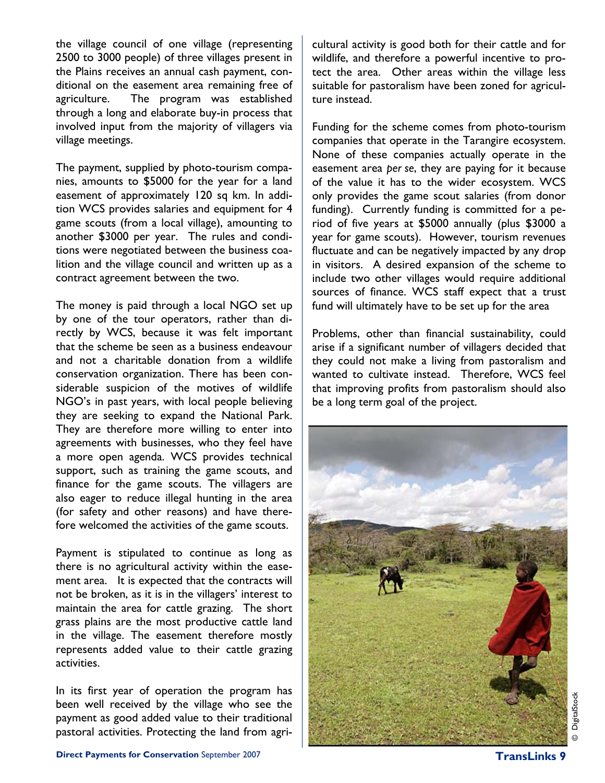the village council of one village (representing 2500 to 3000 people) of three villages present in the Plains receives an annual cash payment, conditional on the easement area remaining free of agriculture. The program was established through a long and elaborate buy-in process that involved input from the majority of villagers via village meetings.

The payment, supplied by photo-tourism companies, amounts to \$5000 for the year for a land easement of approximately 120 sq km. In addition WCS provides salaries and equipment for 4 game scouts (from a local village), amounting to another \$3000 per year. The rules and conditions were negotiated between the business coalition and the village council and written up as a contract agreement between the two.

The money is paid through a local NGO set up by one of the tour operators, rather than directly by WCS, because it was felt important that the scheme be seen as a business endeavour and not a charitable donation from a wildlife conservation organization. There has been considerable suspicion of the motives of wildlife NGO's in past years, with local people believing they are seeking to expand the National Park. They are therefore more willing to enter into agreements with businesses, who they feel have a more open agenda. WCS provides technical support, such as training the game scouts, and finance for the game scouts. The villagers are also eager to reduce illegal hunting in the area (for safety and other reasons) and have therefore welcomed the activities of the game scouts.

Payment is stipulated to continue as long as there is no agricultural activity within the easement area. It is expected that the contracts will not be broken, as it is in the villagers' interest to maintain the area for cattle grazing. The short grass plains are the most productive cattle land in the village. The easement therefore mostly represents added value to their cattle grazing activities.

In its first year of operation the program has been well received by the village who see the payment as good added value to their traditional pastoral activities. Protecting the land from agricultural activity is good both for their cattle and for wildlife, and therefore a powerful incentive to protect the area. Other areas within the village less suitable for pastoralism have been zoned for agriculture instead.

Funding for the scheme comes from photo-tourism companies that operate in the Tarangire ecosystem. None of these companies actually operate in the easement area *per se*, they are paying for it because of the value it has to the wider ecosystem. WCS only provides the game scout salaries (from donor funding). Currently funding is committed for a period of five years at \$5000 annually (plus \$3000 a year for game scouts). However, tourism revenues fluctuate and can be negatively impacted by any drop in visitors. A desired expansion of the scheme to include two other villages would require additional sources of finance. WCS staff expect that a trust fund will ultimately have to be set up for the area

Problems, other than financial sustainability, could arise if a significant number of villagers decided that they could not make a living from pastoralism and wanted to cultivate instead. Therefore, WCS feel that improving profits from pastoralism should also be a long term goal of the project.

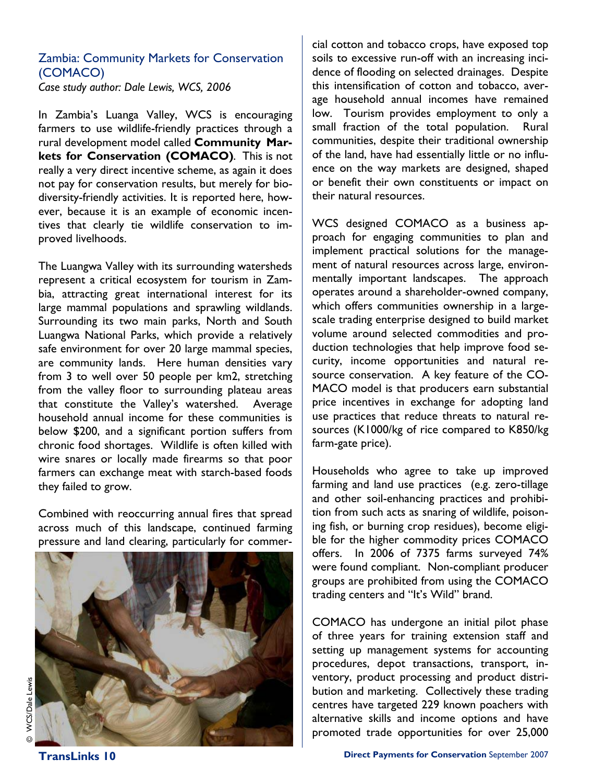### Zambia: Community Markets for Conservation (COMACO)

*Case study author: Dale Lewis, WCS, 2006* 

In Zambia's Luanga Valley, WCS is encouraging farmers to use wildlife-friendly practices through a rural development model called **Community Markets for Conservation (COMACO)**. This is not really a very direct incentive scheme, as again it does not pay for conservation results, but merely for biodiversity-friendly activities. It is reported here, however, because it is an example of economic incentives that clearly tie wildlife conservation to improved livelhoods.

The Luangwa Valley with its surrounding watersheds represent a critical ecosystem for tourism in Zambia, attracting great international interest for its large mammal populations and sprawling wildlands. Surrounding its two main parks, North and South Luangwa National Parks, which provide a relatively safe environment for over 20 large mammal species, are community lands. Here human densities vary from 3 to well over 50 people per km2, stretching from the valley floor to surrounding plateau areas that constitute the Valley's watershed. Average household annual income for these communities is below \$200, and a significant portion suffers from chronic food shortages. Wildlife is often killed with wire snares or locally made firearms so that poor farmers can exchange meat with starch-based foods they failed to grow.

Combined with reoccurring annual fires that spread across much of this landscape, continued farming pressure and land clearing, particularly for commer-



cial cotton and tobacco crops, have exposed top soils to excessive run-off with an increasing incidence of flooding on selected drainages. Despite this intensification of cotton and tobacco, average household annual incomes have remained low. Tourism provides employment to only a small fraction of the total population. Rural communities, despite their traditional ownership of the land, have had essentially little or no influence on the way markets are designed, shaped or benefit their own constituents or impact on their natural resources.

WCS designed COMACO as a business approach for engaging communities to plan and implement practical solutions for the management of natural resources across large, environmentally important landscapes. The approach operates around a shareholder-owned company, which offers communities ownership in a largescale trading enterprise designed to build market volume around selected commodities and production technologies that help improve food security, income opportunities and natural resource conservation. A key feature of the CO-MACO model is that producers earn substantial price incentives in exchange for adopting land use practices that reduce threats to natural resources (K1000/kg of rice compared to K850/kg farm-gate price).

Households who agree to take up improved farming and land use practices (e.g. zero-tillage and other soil-enhancing practices and prohibition from such acts as snaring of wildlife, poisoning fish, or burning crop residues), become eligible for the higher commodity prices COMACO offers. In 2006 of 7375 farms surveyed 74% were found compliant. Non-compliant producer groups are prohibited from using the COMACO trading centers and "It's Wild" brand.

COMACO has undergone an initial pilot phase of three years for training extension staff and setting up management systems for accounting procedures, depot transactions, transport, inventory, product processing and product distribution and marketing. Collectively these trading centres have targeted 229 known poachers with alternative skills and income options and have promoted trade opportunities for over 25,000

© WCS/Dale Lewis WCS/Dale Lewis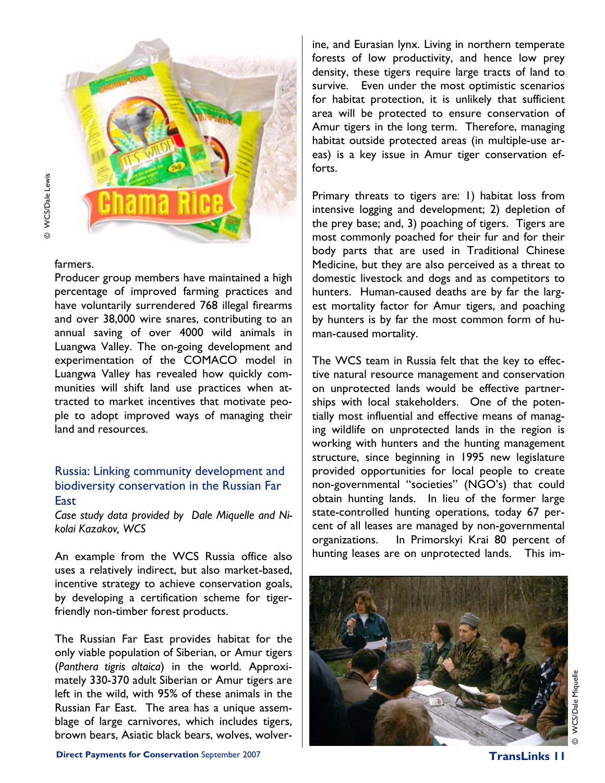

© WCS/Dale Lewis @ WCS/Dale Lewis

farmers.

Producer group members have maintained a high percentage of improved farming practices and have voluntarily surrendered 768 illegal firearms and over 38,000 wire snares, contributing to an annual saving of over 4000 wild animals in Luangwa Valley. The on-going development and experimentation of the COMACO model in Luangwa Valley has revealed how quickly communities will shift land use practices when attracted to market incentives that motivate people to adopt improved ways of managing their land and resources.

#### Russia: Linking community development and biodiversity conservation in the Russian Far **East**

*Case study data provided by Dale Miquelle and Nikolai Kazakov, WCS* 

An example from the WCS Russia office also uses a relatively indirect, but also market-based, incentive strategy to achieve conservation goals, by developing a certification scheme for tigerfriendly non-timber forest products.

The Russian Far East provides habitat for the only viable population of Siberian, or Amur tigers (*Panthera tigris altaica*) in the world. Approximately 330-370 adult Siberian or Amur tigers are left in the wild, with 95% of these animals in the Russian Far East. The area has a unique assemblage of large carnivores, which includes tigers, brown bears, Asiatic black bears, wolves, wolverine, and Eurasian lynx. Living in northern temperate forests of low productivity, and hence low prey density, these tigers require large tracts of land to survive. Even under the most optimistic scenarios for habitat protection, it is unlikely that sufficient area will be protected to ensure conservation of Amur tigers in the long term. Therefore, managing habitat outside protected areas (in multiple-use areas) is a key issue in Amur tiger conservation efforts.

Primary threats to tigers are: 1) habitat loss from intensive logging and development; 2) depletion of the prey base; and, 3) poaching of tigers. Tigers are most commonly poached for their fur and for their body parts that are used in Traditional Chinese Medicine, but they are also perceived as a threat to domestic livestock and dogs and as competitors to hunters. Human-caused deaths are by far the largest mortality factor for Amur tigers, and poaching by hunters is by far the most common form of human-caused mortality.

The WCS team in Russia felt that the key to effective natural resource management and conservation on unprotected lands would be effective partnerships with local stakeholders. One of the potentially most influential and effective means of managing wildlife on unprotected lands in the region is working with hunters and the hunting management structure, since beginning in 1995 new legislature provided opportunities for local people to create non-governmental "societies" (NGO's) that could obtain hunting lands. In lieu of the former large state-controlled hunting operations, today 67 percent of all leases are managed by non-governmental organizations. In Primorskyi Krai 80 percent of hunting leases are on unprotected lands. This im-

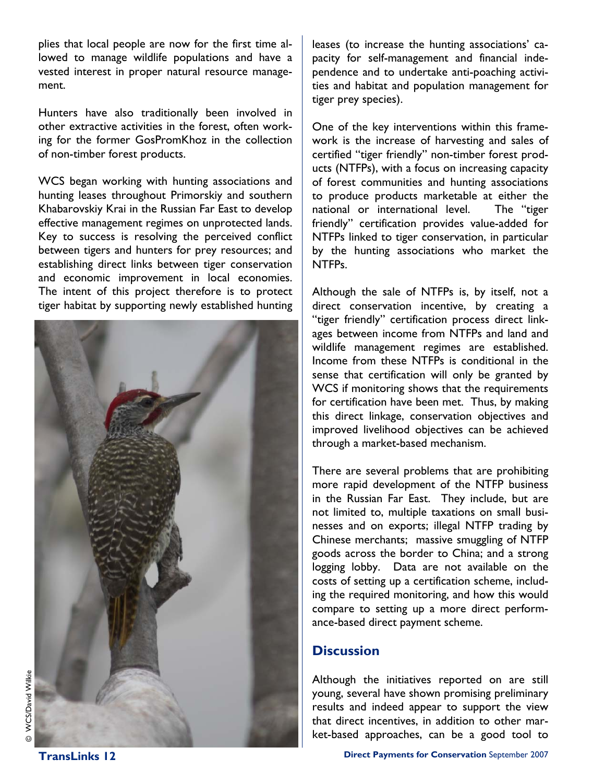plies that local people are now for the first time allowed to manage wildlife populations and have a vested interest in proper natural resource management.

Hunters have also traditionally been involved in other extractive activities in the forest, often working for the former GosPromKhoz in the collection of non-timber forest products.

WCS began working with hunting associations and hunting leases throughout Primorskiy and southern Khabarovskiy Krai in the Russian Far East to develop effective management regimes on unprotected lands. Key to success is resolving the perceived conflict between tigers and hunters for prey resources; and establishing direct links between tiger conservation and economic improvement in local economies. The intent of this project therefore is to protect tiger habitat by supporting newly established hunting



leases (to increase the hunting associations' capacity for self-management and financial independence and to undertake anti-poaching activities and habitat and population management for tiger prey species).

One of the key interventions within this framework is the increase of harvesting and sales of certified "tiger friendly" non-timber forest products (NTFPs), with a focus on increasing capacity of forest communities and hunting associations to produce products marketable at either the national or international level. The "tiger friendly" certification provides value-added for NTFPs linked to tiger conservation, in particular by the hunting associations who market the NTFPs.

Although the sale of NTFPs is, by itself, not a direct conservation incentive, by creating a "tiger friendly" certification process direct linkages between income from NTFPs and land and wildlife management regimes are established. Income from these NTFPs is conditional in the sense that certification will only be granted by WCS if monitoring shows that the requirements for certification have been met. Thus, by making this direct linkage, conservation objectives and improved livelihood objectives can be achieved through a market-based mechanism.

There are several problems that are prohibiting more rapid development of the NTFP business in the Russian Far East. They include, but are not limited to, multiple taxations on small businesses and on exports; illegal NTFP trading by Chinese merchants; massive smuggling of NTFP goods across the border to China; and a strong logging lobby. Data are not available on the costs of setting up a certification scheme, including the required monitoring, and how this would compare to setting up a more direct performance-based direct payment scheme.

#### **Discussion**

Although the initiatives reported on are still young, several have shown promising preliminary results and indeed appear to support the view that direct incentives, in addition to other market-based approaches, can be a good tool to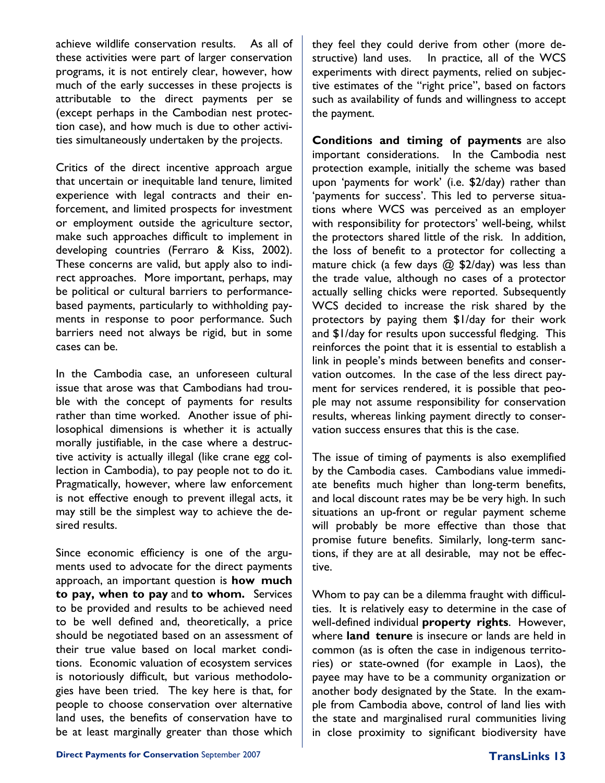achieve wildlife conservation results. As all of these activities were part of larger conservation programs, it is not entirely clear, however, how much of the early successes in these projects is attributable to the direct payments per se (except perhaps in the Cambodian nest protection case), and how much is due to other activities simultaneously undertaken by the projects.

Critics of the direct incentive approach argue that uncertain or inequitable land tenure, limited experience with legal contracts and their enforcement, and limited prospects for investment or employment outside the agriculture sector, make such approaches difficult to implement in developing countries (Ferraro & Kiss, 2002). These concerns are valid, but apply also to indirect approaches. More important, perhaps, may be political or cultural barriers to performancebased payments, particularly to withholding payments in response to poor performance. Such barriers need not always be rigid, but in some cases can be.

In the Cambodia case, an unforeseen cultural issue that arose was that Cambodians had trouble with the concept of payments for results rather than time worked. Another issue of philosophical dimensions is whether it is actually morally justifiable, in the case where a destructive activity is actually illegal (like crane egg collection in Cambodia), to pay people not to do it. Pragmatically, however, where law enforcement is not effective enough to prevent illegal acts, it may still be the simplest way to achieve the desired results.

Since economic efficiency is one of the arguments used to advocate for the direct payments approach, an important question is **how much to pay, when to pay** and **to whom.** Services to be provided and results to be achieved need to be well defined and, theoretically, a price should be negotiated based on an assessment of their true value based on local market conditions. Economic valuation of ecosystem services is notoriously difficult, but various methodologies have been tried. The key here is that, for people to choose conservation over alternative land uses, the benefits of conservation have to be at least marginally greater than those which

they feel they could derive from other (more destructive) land uses. In practice, all of the WCS experiments with direct payments, relied on subjective estimates of the "right price", based on factors such as availability of funds and willingness to accept the payment.

**Conditions and timing of payments** are also important considerations. In the Cambodia nest protection example, initially the scheme was based upon 'payments for work' (i.e. \$2/day) rather than 'payments for success'. This led to perverse situations where WCS was perceived as an employer with responsibility for protectors' well-being, whilst the protectors shared little of the risk. In addition, the loss of benefit to a protector for collecting a mature chick (a few days  $@$  \$2/day) was less than the trade value, although no cases of a protector actually selling chicks were reported. Subsequently WCS decided to increase the risk shared by the protectors by paying them \$1/day for their work and \$1/day for results upon successful fledging. This reinforces the point that it is essential to establish a link in people's minds between benefits and conservation outcomes. In the case of the less direct payment for services rendered, it is possible that people may not assume responsibility for conservation results, whereas linking payment directly to conservation success ensures that this is the case.

The issue of timing of payments is also exemplified by the Cambodia cases. Cambodians value immediate benefits much higher than long-term benefits, and local discount rates may be be very high. In such situations an up-front or regular payment scheme will probably be more effective than those that promise future benefits. Similarly, long-term sanctions, if they are at all desirable, may not be effective.

Whom to pay can be a dilemma fraught with difficulties. It is relatively easy to determine in the case of well-defined individual **property rights**. However, where **land tenure** is insecure or lands are held in common (as is often the case in indigenous territories) or state-owned (for example in Laos), the payee may have to be a community organization or another body designated by the State. In the example from Cambodia above, control of land lies with the state and marginalised rural communities living in close proximity to significant biodiversity have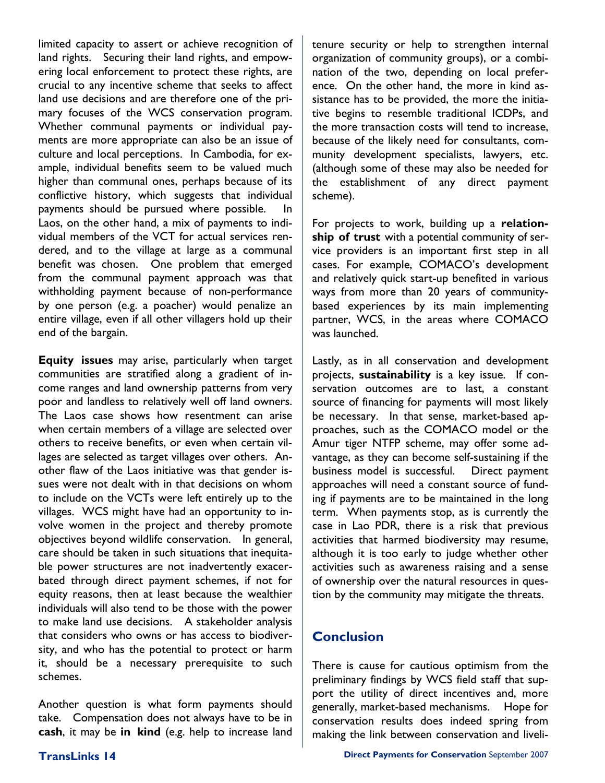limited capacity to assert or achieve recognition of land rights. Securing their land rights, and empowering local enforcement to protect these rights, are crucial to any incentive scheme that seeks to affect land use decisions and are therefore one of the primary focuses of the WCS conservation program. Whether communal payments or individual payments are more appropriate can also be an issue of culture and local perceptions. In Cambodia, for example, individual benefits seem to be valued much higher than communal ones, perhaps because of its conflictive history, which suggests that individual payments should be pursued where possible. In Laos, on the other hand, a mix of payments to individual members of the VCT for actual services rendered, and to the village at large as a communal benefit was chosen. One problem that emerged from the communal payment approach was that withholding payment because of non-performance by one person (e.g. a poacher) would penalize an entire village, even if all other villagers hold up their end of the bargain.

**Equity issues** may arise, particularly when target communities are stratified along a gradient of income ranges and land ownership patterns from very poor and landless to relatively well off land owners. The Laos case shows how resentment can arise when certain members of a village are selected over others to receive benefits, or even when certain villages are selected as target villages over others. Another flaw of the Laos initiative was that gender issues were not dealt with in that decisions on whom to include on the VCTs were left entirely up to the villages. WCS might have had an opportunity to involve women in the project and thereby promote objectives beyond wildlife conservation. In general, care should be taken in such situations that inequitable power structures are not inadvertently exacerbated through direct payment schemes, if not for equity reasons, then at least because the wealthier individuals will also tend to be those with the power to make land use decisions. A stakeholder analysis that considers who owns or has access to biodiversity, and who has the potential to protect or harm it, should be a necessary prerequisite to such schemes.

Another question is what form payments should take. Compensation does not always have to be in **cash**, it may be **in kind** (e.g. help to increase land tenure security or help to strengthen internal organization of community groups), or a combination of the two, depending on local preference. On the other hand, the more in kind assistance has to be provided, the more the initiative begins to resemble traditional ICDPs, and the more transaction costs will tend to increase, because of the likely need for consultants, community development specialists, lawyers, etc. (although some of these may also be needed for the establishment of any direct payment scheme).

For projects to work, building up a **relationship of trust** with a potential community of service providers is an important first step in all cases. For example, COMACO's development and relatively quick start-up benefited in various ways from more than 20 years of communitybased experiences by its main implementing partner, WCS, in the areas where COMACO was launched.

Lastly, as in all conservation and development projects, **sustainability** is a key issue. If conservation outcomes are to last, a constant source of financing for payments will most likely be necessary. In that sense, market-based approaches, such as the COMACO model or the Amur tiger NTFP scheme, may offer some advantage, as they can become self-sustaining if the business model is successful. Direct payment approaches will need a constant source of funding if payments are to be maintained in the long term. When payments stop, as is currently the case in Lao PDR, there is a risk that previous activities that harmed biodiversity may resume, although it is too early to judge whether other activities such as awareness raising and a sense of ownership over the natural resources in question by the community may mitigate the threats.

# **Conclusion**

There is cause for cautious optimism from the preliminary findings by WCS field staff that support the utility of direct incentives and, more generally, market-based mechanisms. Hope for conservation results does indeed spring from making the link between conservation and liveli-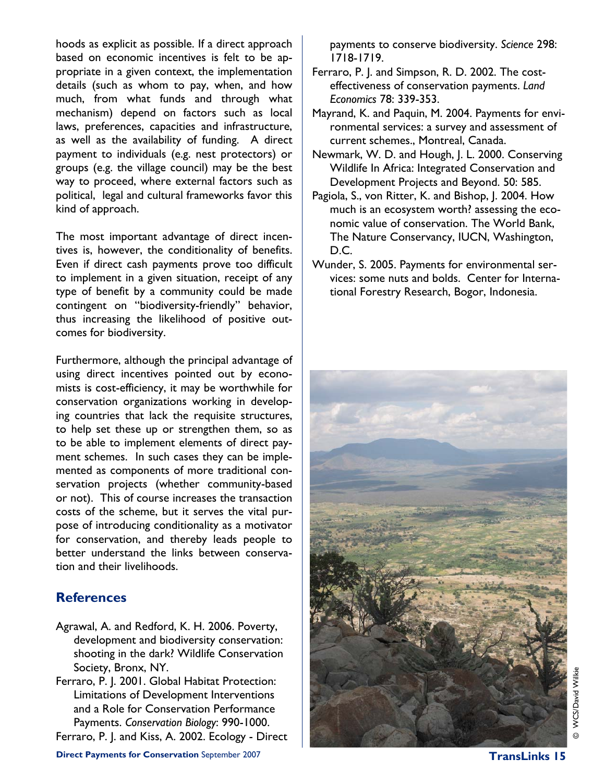hoods as explicit as possible. If a direct approach based on economic incentives is felt to be appropriate in a given context, the implementation details (such as whom to pay, when, and how much, from what funds and through what mechanism) depend on factors such as local laws, preferences, capacities and infrastructure, as well as the availability of funding. A direct payment to individuals (e.g. nest protectors) or groups (e.g. the village council) may be the best way to proceed, where external factors such as political, legal and cultural frameworks favor this kind of approach.

The most important advantage of direct incentives is, however, the conditionality of benefits. Even if direct cash payments prove too difficult to implement in a given situation, receipt of any type of benefit by a community could be made contingent on "biodiversity-friendly" behavior, thus increasing the likelihood of positive outcomes for biodiversity.

Furthermore, although the principal advantage of using direct incentives pointed out by economists is cost-efficiency, it may be worthwhile for conservation organizations working in developing countries that lack the requisite structures, to help set these up or strengthen them, so as to be able to implement elements of direct payment schemes. In such cases they can be implemented as components of more traditional conservation projects (whether community-based or not). This of course increases the transaction costs of the scheme, but it serves the vital purpose of introducing conditionality as a motivator for conservation, and thereby leads people to better understand the links between conservation and their livelihoods.

# **References**

- Agrawal, A. and Redford, K. H. 2006. Poverty, development and biodiversity conservation: shooting in the dark? Wildlife Conservation Society, Bronx, NY.
- Ferraro, P. J. 2001. Global Habitat Protection: Limitations of Development Interventions and a Role for Conservation Performance Payments. *Conservation Biology*: 990-1000.
- Ferraro, P. J. and Kiss, A. 2002. Ecology Direct

payments to conserve biodiversity. *Science* 298: 1718-1719.

- Ferraro, P. J. and Simpson, R. D. 2002. The costeffectiveness of conservation payments. *Land Economics* 78: 339-353.
- Mayrand, K. and Paquin, M. 2004. Payments for environmental services: a survey and assessment of current schemes., Montreal, Canada.
- Newmark, W. D. and Hough, J. L. 2000. Conserving Wildlife In Africa: Integrated Conservation and Development Projects and Beyond. 50: 585.
- Pagiola, S., von Ritter, K. and Bishop, J. 2004. How much is an ecosystem worth? assessing the economic value of conservation. The World Bank, The Nature Conservancy, IUCN, Washington, D.C.
- Wunder, S. 2005. Payments for environmental services: some nuts and bolds. Center for International Forestry Research, Bogor, Indonesia.